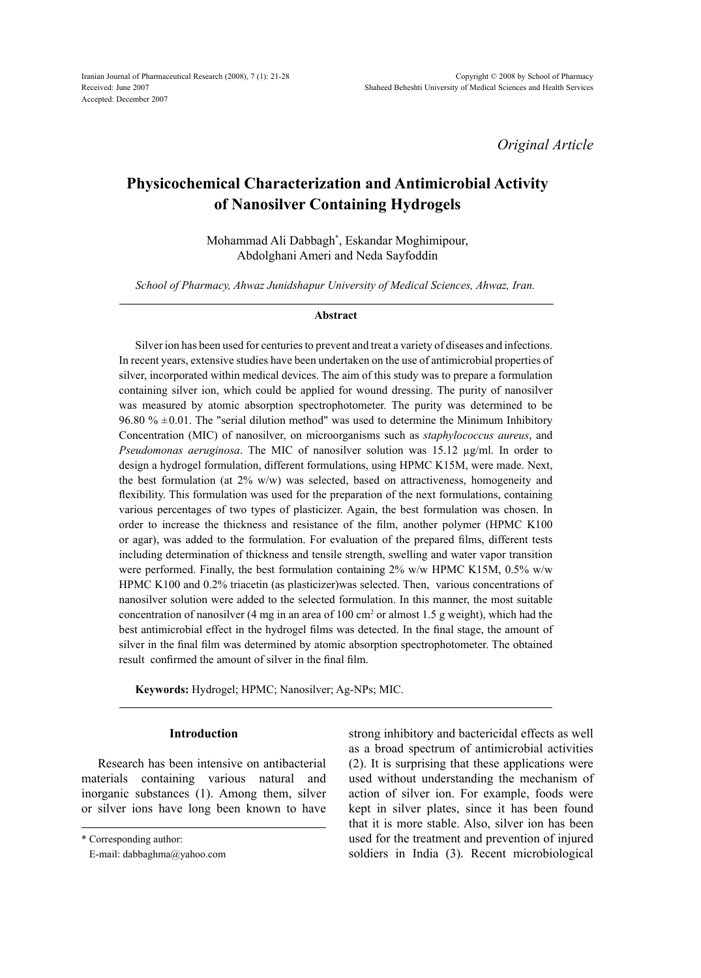*Original Article*

# **Physicochemical Characterization and Antimicrobial Activity of Nanosilver Containing Hydrogels**

Mohammad Ali Dabbagh\* , Eskandar Moghimipour, Abdolghani Ameri and Neda Sayfoddin

*School of Pharmacy, Ahwaz Junidshapur University of Medical Sciences, Ahwaz, Iran.*

#### **Abstract**

Silver ion has been used for centuries to prevent and treat a variety of diseases and infections. In recent years, extensive studies have been undertaken on the use of antimicrobial properties of silver, incorporated within medical devices. The aim of this study was to prepare a formulation containing silver ion, which could be applied for wound dressing. The purity of nanosilver was measured by atomic absorption spectrophotometer. The purity was determined to be 96.80 %  $\pm$ 0.01. The "serial dilution method" was used to determine the Minimum Inhibitory Concentration (MIC) of nanosilver, on microorganisms such as *staphylococcus aureus*, and *Pseudomonas aeruginosa*. The MIC of nanosilver solution was 15.12 µg/ml. In order to design a hydrogel formulation, different formulations, using HPMC K15M, were made. Next, the best formulation (at 2% w/w) was selected, based on attractiveness, homogeneity and flexibility. This formulation was used for the preparation of the next formulations, containing various percentages of two types of plasticizer. Again, the best formulation was chosen. In order to increase the thickness and resistance of the film, another polymer (HPMC K100 or agar), was added to the formulation. For evaluation of the prepared films, different tests including determination of thickness and tensile strength, swelling and water vapor transition were performed. Finally, the best formulation containing 2% w/w HPMC K15M, 0.5% w/w HPMC K100 and 0.2% triacetin (as plasticizer)was selected. Then, various concentrations of nanosilver solution were added to the selected formulation. In this manner, the most suitable concentration of nanosilver (4 mg in an area of 100 cm<sup>2</sup> or almost 1.5 g weight), which had the best antimicrobial effect in the hydrogel films was detected. In the final stage, the amount of silver in the final film was determined by atomic absorption spectrophotometer. The obtained result confirmed the amount of silver in the final film.

**Keywords:** Hydrogel; HPMC; Nanosilver; Ag-NPs; MIC.

## **Introduction**

Research has been intensive on antibacterial materials containing various natural and inorganic substances (1). Among them, silver or silver ions have long been known to have

strong inhibitory and bactericidal effects as well as a broad spectrum of antimicrobial activities (2). It is surprising that these applications were used without understanding the mechanism of action of silver ion. For example, foods were kept in silver plates, since it has been found that it is more stable. Also, silver ion has been used for the treatment and prevention of injured soldiers in India (3). Recent microbiological

<sup>\*</sup> Corresponding author:

E-mail: dabbaghma@yahoo.com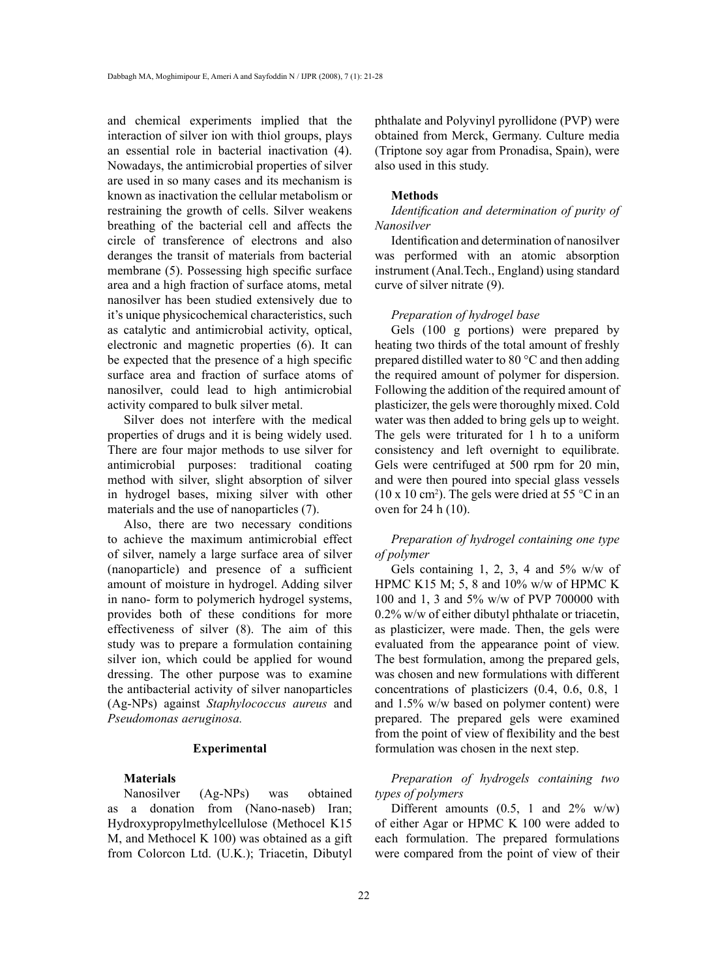and chemical experiments implied that the interaction of silver ion with thiol groups, plays an essential role in bacterial inactivation (4). Nowadays, the antimicrobial properties of silver are used in so many cases and its mechanism is known as inactivation the cellular metabolism or restraining the growth of cells. Silver weakens breathing of the bacterial cell and affects the circle of transference of electrons and also deranges the transit of materials from bacterial membrane (5). Possessing high specific surface area and a high fraction of surface atoms, metal nanosilver has been studied extensively due to it's unique physicochemical characteristics, such as catalytic and antimicrobial activity, optical, electronic and magnetic properties (6). It can be expected that the presence of a high specific surface area and fraction of surface atoms of nanosilver, could lead to high antimicrobial activity compared to bulk silver metal.

Silver does not interfere with the medical properties of drugs and it is being widely used. There are four major methods to use silver for antimicrobial purposes: traditional coating method with silver, slight absorption of silver in hydrogel bases, mixing silver with other materials and the use of nanoparticles (7).

Also, there are two necessary conditions to achieve the maximum antimicrobial effect of silver, namely a large surface area of silver (nanoparticle) and presence of a sufficient amount of moisture in hydrogel. Adding silver in nano- form to polymerich hydrogel systems, provides both of these conditions for more effectiveness of silver (8). The aim of this study was to prepare a formulation containing silver ion, which could be applied for wound dressing. The other purpose was to examine the antibacterial activity of silver nanoparticles (Ag-NPs) against *Staphylococcus aureus* and *Pseudomonas aeruginosa.*

### **Experimental**

# **Materials**

Nanosilver (Ag-NPs) was obtained as a donation from (Nano-naseb) Iran; Hydroxypropylmethylcellulose (Methocel K15 M, and Methocel K 100) was obtained as a gift from Colorcon Ltd. (U.K.); Triacetin, Dibutyl phthalate and Polyvinyl pyrollidone (PVP) were obtained from Merck, Germany. Culture media (Triptone soy agar from Pronadisa, Spain), were also used in this study.

#### **Methods**

*Identification and determination of purity of Nanosilver*

Identification and determination of nanosilver was performed with an atomic absorption instrument (Anal.Tech., England) using standard curve of silver nitrate (9).

#### *Preparation of hydrogel base*

Gels (100 g portions) were prepared by heating two thirds of the total amount of freshly prepared distilled water to 80 °C and then adding the required amount of polymer for dispersion. Following the addition of the required amount of plasticizer, the gels were thoroughly mixed. Cold water was then added to bring gels up to weight. The gels were triturated for 1 h to a uniform consistency and left overnight to equilibrate. Gels were centrifuged at 500 rpm for 20 min, and were then poured into special glass vessels  $(10 \times 10 \text{ cm}^2)$ . The gels were dried at 55 °C in an oven for 24 h (10).

*Preparation of hydrogel containing one type of polymer*

Gels containing 1, 2, 3, 4 and  $5\%$  w/w of HPMC K15 M; 5, 8 and 10% w/w of HPMC K 100 and 1, 3 and 5% w/w of PVP 700000 with 0.2% w/w of either dibutyl phthalate or triacetin, as plasticizer, were made. Then, the gels were evaluated from the appearance point of view. The best formulation, among the prepared gels, was chosen and new formulations with different concentrations of plasticizers (0.4, 0.6, 0.8, 1 and 1.5% w/w based on polymer content) were prepared. The prepared gels were examined from the point of view of flexibility and the best formulation was chosen in the next step.

*Preparation of hydrogels containing two types of polymers*

Different amounts  $(0.5, 1 \text{ and } 2\% \text{ w/w})$ of either Agar or HPMC K 100 were added to each formulation. The prepared formulations were compared from the point of view of their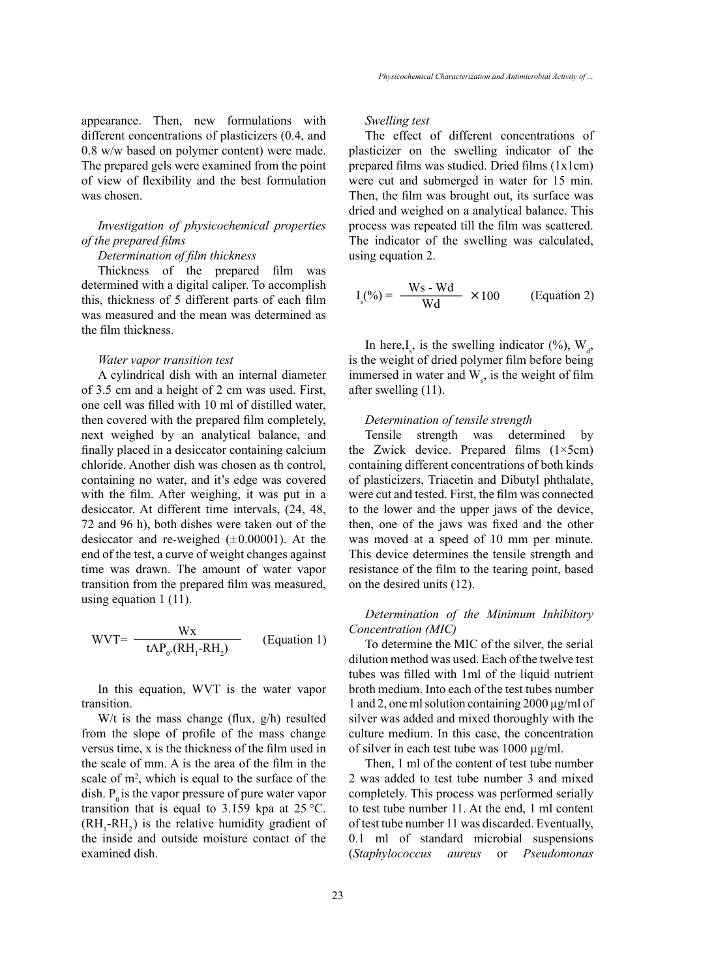appearance. Then, new formulations with different concentrations of plasticizers (0.4, and 0.8 w/w based on polymer content) were made. The prepared gels were examined from the point of view of flexibility and the best formulation was chosen.

# *Investigation of physicochemical properties of the prepared films*

## *Determination of film thickness*

Thickness of the prepared film was determined with a digital caliper. To accomplish this, thickness of 5 different parts of each film was measured and the mean was determined as the film thickness.

#### *Water vapor transition test*

A cylindrical dish with an internal diameter of 3.5 cm and a height of 2 cm was used. First, one cell was filled with 10 ml of distilled water, then covered with the prepared film completely, next weighed by an analytical balance, and finally placed in a desiccator containing calcium chloride. Another dish was chosen as th control, containing no water, and it's edge was covered with the film. After weighing, it was put in a desiccator. At different time intervals, (24, 48, 72 and 96 h), both dishes were taken out of the desiccator and re-weighed  $(\pm 0.00001)$ . At the end of the test, a curve of weight changes against time was drawn. The amount of water vapor transition from the prepared film was measured, using equation 1 (11).

$$
WVT = \frac{Wx}{tAP_0(RH_1-RH_2)}
$$
 (Equation 1)

In this equation, WVT is the water vapor transition.

W/t is the mass change (flux, g/h) resulted from the slope of profile of the mass change versus time, x is the thickness of the film used in the scale of mm. A is the area of the film in the scale of m<sup>2</sup>, which is equal to the surface of the dish.  $P_0$  is the vapor pressure of pure water vapor transition that is equal to 3.159 kpa at  $25^{\circ}$ C.  $(RH_1$ - $RH_2)$  is the relative humidity gradient of the inside and outside moisture contact of the examined dish.

*Swelling test*

The effect of different concentrations of plasticizer on the swelling indicator of the prepared films was studied. Dried films (1x1cm) were cut and submerged in water for 15 min. Then, the film was brought out, its surface was dried and weighed on a analytical balance. This process was repeated till the film was scattered. The indicator of the swelling was calculated, using equation 2.

$$
I_s(\%) = \frac{\text{Ws} - \text{Wd}}{\text{Wd}} \times 100 \qquad \text{(Equation 2)}
$$

In here, $I_s$ , is the swelling indicator (%),  $W_d$ , is the weight of dried polymer film before being immersed in water and  $W<sub>s</sub>$ , is the weight of film after swelling (11).

### *Determination of tensile strength*

Tensile strength was determined by the Zwick device. Prepared films  $(1 \times 5 \text{ cm})$ containing different concentrations of both kinds of plasticizers, Triacetin and Dibutyl phthalate, were cut and tested. First, the film was connected to the lower and the upper jaws of the device, then, one of the jaws was fixed and the other was moved at a speed of 10 mm per minute. This device determines the tensile strength and resistance of the film to the tearing point, based on the desired units (12).

# *Determination of the Minimum Inhibitory Concentration (MIC)*

To determine the MIC of the silver, the serial dilution method was used. Each of the twelve test tubes was filled with 1ml of the liquid nutrient broth medium. Into each of the test tubes number 1 and 2, one ml solution containing  $2000 \mu g/ml$  of silver was added and mixed thoroughly with the culture medium. In this case, the concentration of silver in each test tube was 1000 µg/ml.

Then, 1 ml of the content of test tube number 2 was added to test tube number 3 and mixed completely. This process was performed serially to test tube number 11. At the end, 1 ml content of test tube number 11 was discarded. Eventually, 0.1 ml of standard microbial suspensions (*Staphylococcus aureus* or *Pseudomonas*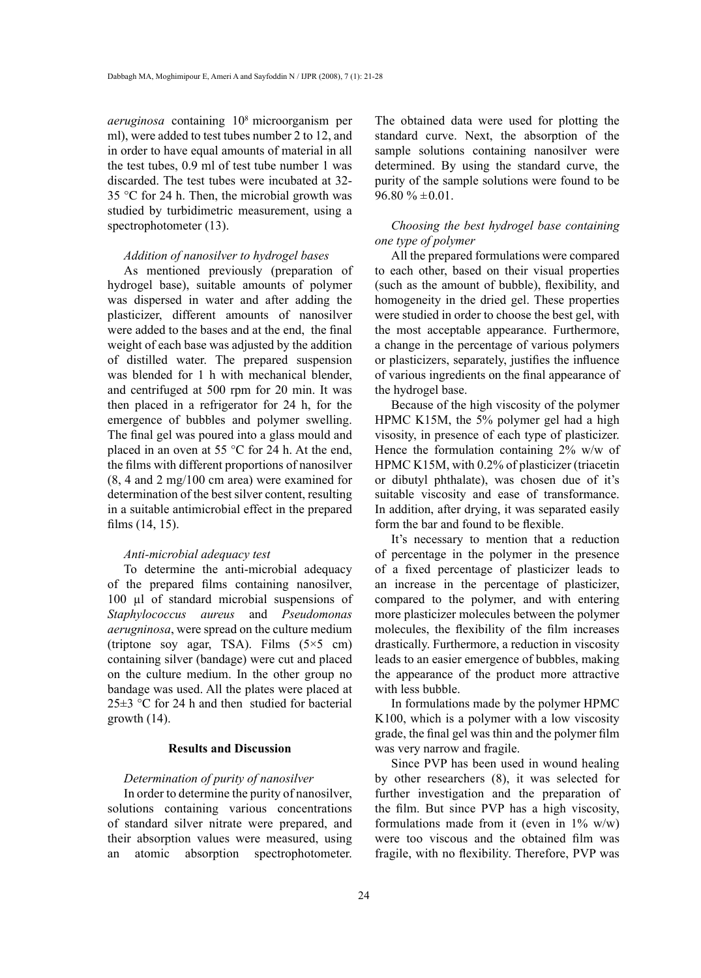*aeruginosa* containing 108 microorganism per ml), were added to test tubes number 2 to 12, and in order to have equal amounts of material in all the test tubes, 0.9 ml of test tube number 1 was discarded. The test tubes were incubated at 32- 35 °C for 24 h. Then, the microbial growth was studied by turbidimetric measurement, using a spectrophotometer (13).

## *Addition of nanosilver to hydrogel bases*

As mentioned previously (preparation of hydrogel base), suitable amounts of polymer was dispersed in water and after adding the plasticizer, different amounts of nanosilver were added to the bases and at the end, the final weight of each base was adjusted by the addition of distilled water. The prepared suspension was blended for 1 h with mechanical blender, and centrifuged at 500 rpm for 20 min. It was then placed in a refrigerator for 24 h, for the emergence of bubbles and polymer swelling. The final gel was poured into a glass mould and placed in an oven at 55 °C for 24 h. At the end, the films with different proportions of nanosilver (8, 4 and 2 mg/100 cm area) were examined for determination of the best silver content, resulting in a suitable antimicrobial effect in the prepared films (14, 15).

## *Anti-microbial adequacy test*

To determine the anti-microbial adequacy of the prepared films containing nanosilver, 100 µl of standard microbial suspensions of *Staphylococcus aureus* and *Pseudomonas aerugninosa*, were spread on the culture medium (triptone soy agar, TSA). Films (5×5 cm) containing silver (bandage) were cut and placed on the culture medium. In the other group no bandage was used. All the plates were placed at  $25\pm3$  °C for 24 h and then studied for bacterial growth (14).

### **Results and Discussion**

## *Determination of purity of nanosilver*

In order to determine the purity of nanosilver, solutions containing various concentrations of standard silver nitrate were prepared, and their absorption values were measured, using an atomic absorption spectrophotometer.

The obtained data were used for plotting the standard curve. Next, the absorption of the sample solutions containing nanosilver were determined. By using the standard curve, the purity of the sample solutions were found to be  $96.80 \% \pm 0.01$ .

# *Choosing the best hydrogel base containing one type of polymer*

All the prepared formulations were compared to each other, based on their visual properties (such as the amount of bubble), flexibility, and homogeneity in the dried gel. These properties were studied in order to choose the best gel, with the most acceptable appearance. Furthermore, a change in the percentage of various polymers or plasticizers, separately, justifies the influence of various ingredients on the final appearance of the hydrogel base.

Because of the high viscosity of the polymer HPMC K15M, the 5% polymer gel had a high visosity, in presence of each type of plasticizer. Hence the formulation containing 2% w/w of HPMC K15M, with 0.2% of plasticizer (triacetin or dibutyl phthalate), was chosen due of it's suitable viscosity and ease of transformance. In addition, after drying, it was separated easily form the bar and found to be flexible.

It's necessary to mention that a reduction of percentage in the polymer in the presence of a fixed percentage of plasticizer leads to an increase in the percentage of plasticizer, compared to the polymer, and with entering more plasticizer molecules between the polymer molecules, the flexibility of the film increases drastically. Furthermore, a reduction in viscosity leads to an easier emergence of bubbles, making the appearance of the product more attractive with less bubble.

In formulations made by the polymer HPMC K100, which is a polymer with a low viscosity grade, the final gel was thin and the polymer film was very narrow and fragile.

Since PVP has been used in wound healing by other researchers (8), it was selected for further investigation and the preparation of the film. But since PVP has a high viscosity, formulations made from it (even in  $1\%$  w/w) were too viscous and the obtained film was fragile, with no flexibility. Therefore, PVP was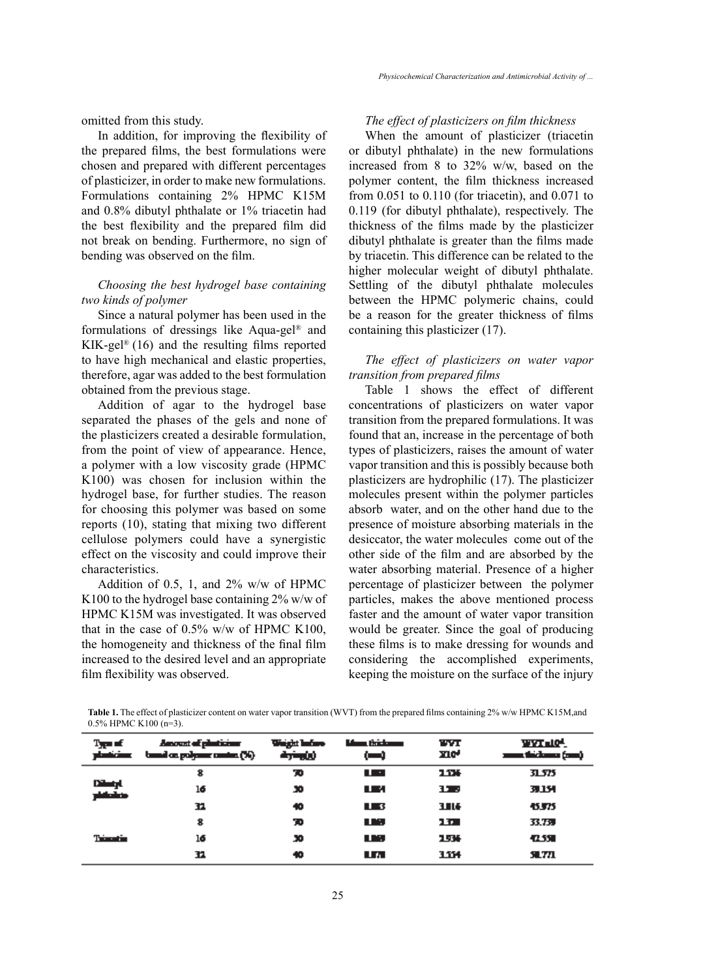omitted from this study.

In addition, for improving the flexibility of the prepared films, the best formulations were chosen and prepared with different percentages of plasticizer, in order to make new formulations. Formulations containing 2% HPMC K15M and 0.8% dibutyl phthalate or 1% triacetin had the best flexibility and the prepared film did not break on bending. Furthermore, no sign of bending was observed on the film.

# *Choosing the best hydrogel base containing two kinds of polymer*

Since a natural polymer has been used in the formulations of dressings like Aqua-gel® and KIK-gel® (16) and the resulting films reported to have high mechanical and elastic properties, therefore, agar was added to the best formulation obtained from the previous stage.

Addition of agar to the hydrogel base separated the phases of the gels and none of the plasticizers created a desirable formulation, from the point of view of appearance. Hence, a polymer with a low viscosity grade (HPMC K100) was chosen for inclusion within the hydrogel base, for further studies. The reason for choosing this polymer was based on some reports (10), stating that mixing two different cellulose polymers could have a synergistic effect on the viscosity and could improve their characteristics.

Addition of 0.5, 1, and  $2\%$  w/w of HPMC K100 to the hydrogel base containing 2% w/w of HPMC K15M was investigated. It was observed that in the case of  $0.5\%$  w/w of HPMC K100, the homogeneity and thickness of the final film increased to the desired level and an appropriate film flexibility was observed.

# *The effect of plasticizers on film thickness*

When the amount of plasticizer (triacetin or dibutyl phthalate) in the new formulations increased from 8 to 32% w/w, based on the polymer content, the film thickness increased from 0.051 to 0.110 (for triacetin), and 0.071 to 0.119 (for dibutyl phthalate), respectively. The thickness of the films made by the plasticizer dibutyl phthalate is greater than the films made by triacetin. This difference can be related to the higher molecular weight of dibutyl phthalate. Settling of the dibutyl phthalate molecules between the HPMC polymeric chains, could be a reason for the greater thickness of films containing this plasticizer (17).

# *The effect of plasticizers on water vapor transition from prepared films*

Table 1 shows the effect of different concentrations of plasticizers on water vapor transition from the prepared formulations. It was found that an, increase in the percentage of both types of plasticizers, raises the amount of water vapor transition and this is possibly because both plasticizers are hydrophilic (17). The plasticizer molecules present within the polymer particles absorb water, and on the other hand due to the presence of moisture absorbing materials in the desiccator, the water molecules come out of the other side of the film and are absorbed by the water absorbing material. Presence of a higher percentage of plasticizer between the polymer particles, makes the above mentioned process faster and the amount of water vapor transition would be greater. Since the goal of producing these films is to make dressing for wounds and considering the accomplished experiments, keeping the moisture on the surface of the injury

| <b>Table 1.</b> The effect of plasticizer content on water vapor transition (WVT) from the prepared films containing 2% w/w HPMC K15M, and |
|--------------------------------------------------------------------------------------------------------------------------------------------|
| $0.5\%$ HPMC K100 (n=3).                                                                                                                   |

| $T_{\rm H} = 10$ | <b>Amount of planticism</b><br>planticing themelon polymer contex (%) | Weight Industry<br>فارجنوه | وسنادتنا ومشا<br>⊶ | TУT<br><b>YIO'</b> | <b>WYT LOW</b><br>(mm) trickens (cm) |
|------------------|-----------------------------------------------------------------------|----------------------------|--------------------|--------------------|--------------------------------------|
| Dintyl<br>متقشر  | 8                                                                     | ю                          | <b>Contract</b>    | 1.114              | 31.575                               |
|                  | 16                                                                    | 30                         | n ma               | 175                | 31 L.H                               |
|                  | 11                                                                    | 40                         | <b>The St</b>      | Шŀ                 | 45.975                               |
| Trimation        | 8                                                                     | ю                          | TIME .             | 11                 | 33.739                               |
|                  | 16                                                                    | ю                          | L. K.              | 15%                | -1.550                               |
|                  | 11                                                                    | 40                         | U AL               | 1114               | Яm                                   |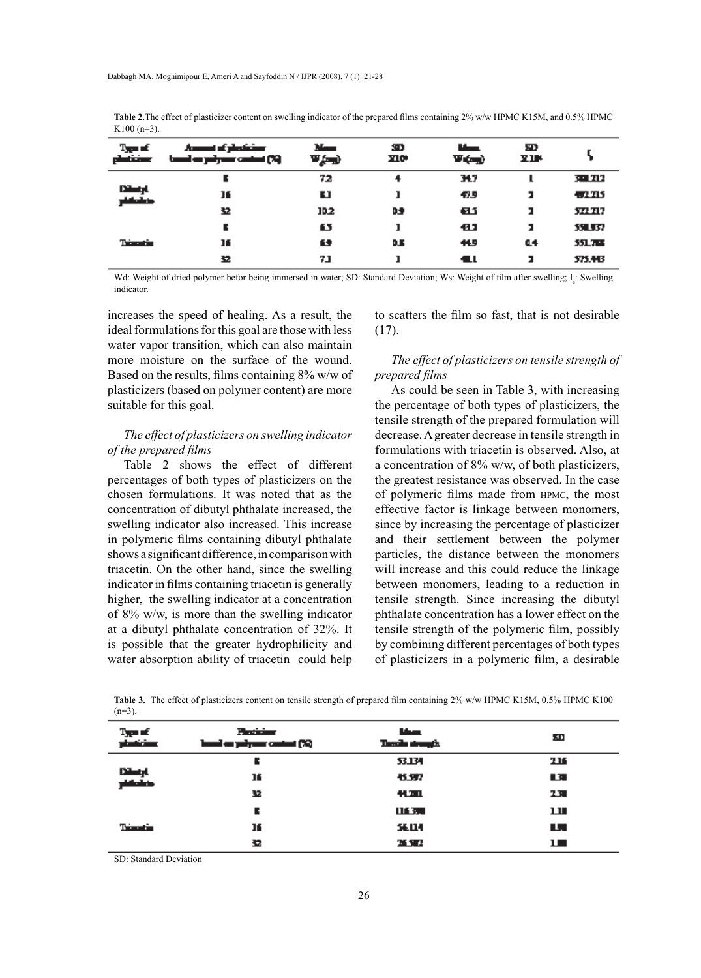**Table 2.**The effect of plasticizer content on swelling indicator of the prepared films containing 2% w/w HPMC K15M, and 0.5% HPMC K100 (n=3).

| $T_{\rm eff}$ of<br>وسنختلط | Annual of photoiour<br>tand as pilyaus costat (%) | March 19<br>w gand | 3D.<br><b>YIO+</b> | <b>The Contract of Service</b><br>V (m) | SD.<br>Х ПР |                |
|-----------------------------|---------------------------------------------------|--------------------|--------------------|-----------------------------------------|-------------|----------------|
| Dilatyl.<br>منقشر           |                                                   | 72                 | 4                  | 34.7                                    |             | 30 N N         |
|                             | 16                                                | u                  |                    | 47.5                                    | я           | 47.715         |
|                             | 垫                                                 | 10.2               | œ                  | 61.1                                    | ,           | 37. TI7        |
| Trimatic                    |                                                   | 63                 |                    | 41                                      | я           | 35 J 57        |
|                             | 16                                                | 69                 | D.B                | 45                                      | 44          | <b>551.708</b> |
|                             | 32                                                | 7.1                |                    | <b>11</b>                               | я           | 575.443        |

Wd: Weight of dried polymer befor being immersed in water; SD: Standard Deviation; Ws: Weight of film after swelling; I<sub>s</sub>: Swelling indicator.

increases the speed of healing. As a result, the ideal formulations for this goal are those with less water vapor transition, which can also maintain more moisture on the surface of the wound. Based on the results, films containing 8% w/w of plasticizers (based on polymer content) are more suitable for this goal.

# *The effect of plasticizers on swelling indicator of the prepared films*

Table 2 shows the effect of different percentages of both types of plasticizers on the chosen formulations. It was noted that as the concentration of dibutyl phthalate increased, the swelling indicator also increased. This increase in polymeric films containing dibutyl phthalate shows a significant difference, in comparison with triacetin. On the other hand, since the swelling indicator in films containing triacetin is generally higher, the swelling indicator at a concentration of 8% w/w, is more than the swelling indicator at a dibutyl phthalate concentration of 32%. It is possible that the greater hydrophilicity and water absorption ability of triacetin could help to scatters the film so fast, that is not desirable (17).

# *The effect of plasticizers on tensile strength of prepared films*

As could be seen in Table 3, with increasing the percentage of both types of plasticizers, the tensile strength of the prepared formulation will decrease. A greater decrease in tensile strength in formulations with triacetin is observed. Also, at a concentration of 8% w/w, of both plasticizers, the greatest resistance was observed. In the case of polymeric films made from hpmc, the most effective factor is linkage between monomers, since by increasing the percentage of plasticizer and their settlement between the polymer particles, the distance between the monomers will increase and this could reduce the linkage between monomers, leading to a reduction in tensile strength. Since increasing the dibutyl phthalate concentration has a lower effect on the tensile strength of the polymeric film, possibly by combining different percentages of both types of plasticizers in a polymeric film, a desirable

**Table 3.** The effect of plasticizers content on tensile strength of prepared film containing 2% w/w HPMC K15M, 0.5% HPMC K100  $(n=3)$ .

| $T_{\rm eff}$ of<br>planticians | Participan<br>band on polymer control (%) | حطا<br>Tanzik strangih. | łП, |
|---------------------------------|-------------------------------------------|-------------------------|-----|
| Dilatyl<br>platalau             | Е                                         | <b>53.134</b>           | 216 |
|                                 | 16                                        | 45.577                  | L31 |
|                                 | 32                                        | 41.311                  | 13  |
| <b>Trianglia</b>                |                                           | 111370                  | ш   |
|                                 | 16                                        | <b>36.LI-1</b>          | ш.  |
|                                 | 32.                                       | <b>XX</b>               | ш   |

SD: Standard Deviation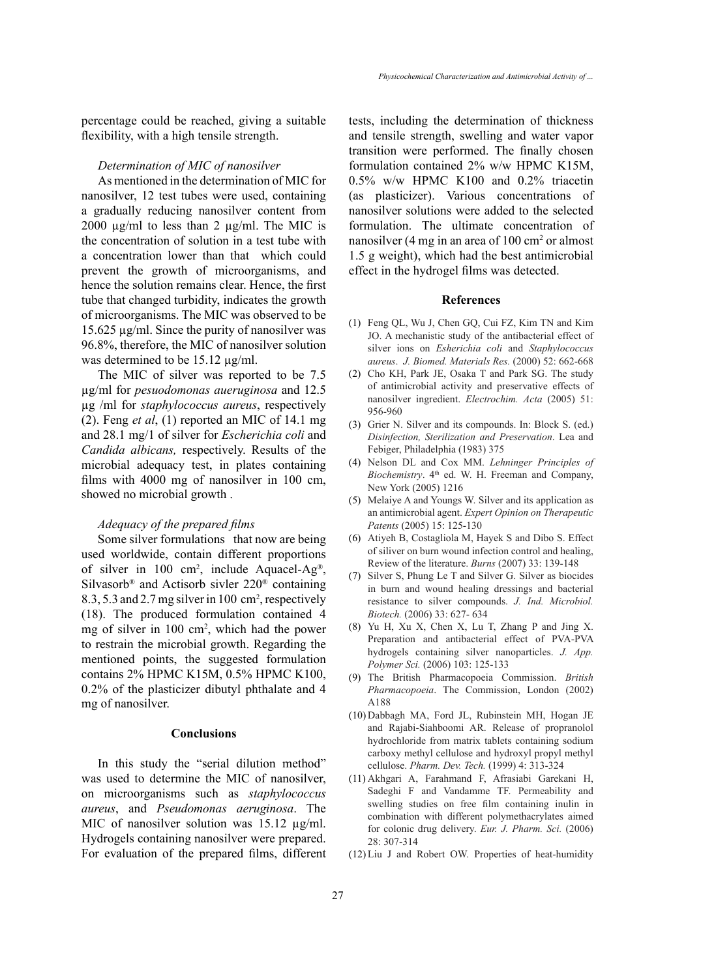percentage could be reached, giving a suitable flexibility, with a high tensile strength.

### *Determination of MIC of nanosilver*

As mentioned in the determination of MIC for nanosilver, 12 test tubes were used, containing a gradually reducing nanosilver content from 2000 µg/ml to less than 2 µg/ml. The MIC is the concentration of solution in a test tube with a concentration lower than that which could prevent the growth of microorganisms, and hence the solution remains clear. Hence, the first tube that changed turbidity, indicates the growth of microorganisms. The MIC was observed to be 15.625 µg/ml. Since the purity of nanosilver was 96.8%, therefore, the MIC of nanosilver solution was determined to be 15.12  $\mu$ g/ml.

The MIC of silver was reported to be 7.5 µg/ml for *pesuodomonas aueruginosa* and 12.5 µg /ml for *staphylococcus aureus*, respectively (2). Feng *et al*, (1) reported an MIC of 14.1 mg and 28.1 mg/1 of silver for *Escherichia coli* and *Candida albicans,* respectively. Results of the microbial adequacy test, in plates containing films with 4000 mg of nanosilver in 100 cm, showed no microbial growth .

#### *Adequacy of the prepared films*

Some silver formulations that now are being used worldwide, contain different proportions of silver in 100 cm<sup>2</sup>, include Aquacel-Ag<sup>®</sup>, Silvasorb® and Actisorb sivler 220® containing 8.3, 5.3 and 2.7 mg silver in 100 cm2 , respectively (18). The produced formulation contained 4 mg of silver in 100 cm<sup>2</sup>, which had the power to restrain the microbial growth. Regarding the mentioned points, the suggested formulation contains 2% HPMC K15M, 0.5% HPMC K100, 0.2% of the plasticizer dibutyl phthalate and 4 mg of nanosilver.

## **Conclusions**

In this study the "serial dilution method" was used to determine the MIC of nanosilver, on microorganisms such as *staphylococcus aureus*, and *Pseudomonas aeruginosa*. The MIC of nanosilver solution was 15.12  $\mu$ g/ml. Hydrogels containing nanosilver were prepared. For evaluation of the prepared films, different tests, including the determination of thickness and tensile strength, swelling and water vapor transition were performed. The finally chosen formulation contained 2% w/w HPMC K15M, 0.5% w/w HPMC K100 and 0.2% triacetin (as plasticizer). Various concentrations of nanosilver solutions were added to the selected formulation. The ultimate concentration of nanosilver (4 mg in an area of  $100 \text{ cm}^2$  or almost 1.5 g weight), which had the best antimicrobial effect in the hydrogel films was detected.

#### **References**

- Feng QL, Wu J, Chen GQ, Cui FZ, Kim TN and Kim (1) JO. A mechanistic study of the antibacterial effect of silver ions on *Esherichia coli* and *Staphylococcus aureus*. *J. Biomed. Materials Res.* (2000) 52: 662-668
- (2) Cho KH, Park JE, Osaka T and Park SG. The study of antimicrobial activity and preservative effects of nanosilver ingredient. *Electrochim. Acta* (2005) 51: 956-960
- (3) Grier N. Silver and its compounds. In: Block S. (ed.) *Disinfection, Sterilization and Preservation*. Lea and Febiger, Philadelphia (1983) 375
- Nelson DL and Cox MM. *Lehninger Principles of*  (4) *Biochemistry*. 4<sup>th</sup> ed. W. H. Freeman and Company, New York (2005) 1216
- Melaiye A and Youngs W. Silver and its application as (5) an antimicrobial agent. *Expert Opinion on Therapeutic Patents* (2005) 15: 125-130
- Atiyeh B, Costagliola M, Hayek S and Dibo S. Effect (6) of siliver on burn wound infection control and healing, Review of the literature. *Burns* (2007) 33: 139-148
- $(7)$  Silver S, Phung Le T and Silver G. Silver as biocides in burn and wound healing dressings and bacterial resistance to silver compounds. *J. Ind. Microbiol. Biotech.* (2006) 33: 627- 634
- $(8)$  Yu H, Xu X, Chen X, Lu T, Zhang P and Jing X. Preparation and antibacterial effect of PVA-PVA hydrogels containing silver nanoparticles. *J. App. Polymer Sci.* (2006) 103: 125-133
- The British Pharmacopoeia Commission. *British*  (9) *Pharmacopoeia*. The Commission, London (2002) A188
- (10) Dabbagh MA, Ford JL, Rubinstein MH, Hogan JE and Rajabi-Siahboomi AR. Release of propranolol hydrochloride from matrix tablets containing sodium carboxy methyl cellulose and hydroxyl propyl methyl cellulose. *Pharm. Dev. Tech.* (1999) 4: 313-324
- Akhgari A, Farahmand F, Afrasiabi Garekani H, (11) Sadeghi F and Vandamme TF. Permeability and swelling studies on free film containing inulin in combination with different polymethacrylates aimed for colonic drug delivery. *Eur. J. Pharm. Sci.* (2006) 28: 307-314
- $(12)$  Liu J and Robert OW. Properties of heat-humidity